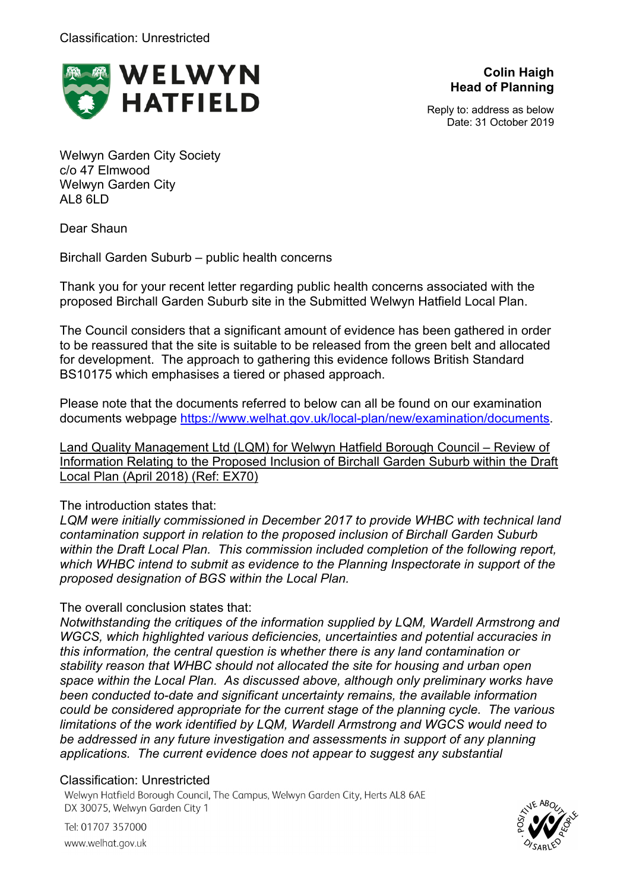

**Colin Haigh Head of Planning**

Reply to: address as below Date: 31 October 2019

Welwyn Garden City Society c/o 47 Elmwood Welwyn Garden City AL8 6LD

Dear Shaun

Birchall Garden Suburb – public health concerns

Thank you for your recent letter regarding public health concerns associated with the proposed Birchall Garden Suburb site in the Submitted Welwyn Hatfield Local Plan.

The Council considers that a significant amount of evidence has been gathered in order to be reassured that the site is suitable to be released from the green belt and allocated for development. The approach to gathering this evidence follows British Standard BS10175 which emphasises a tiered or phased approach.

Please note that the documents referred to below can all be found on our examination documents webpage https://www.welhat.gov.uk/local-plan/new/examination/documents.

Land Quality Management Ltd (LQM) for Welwyn Hatfield Borough Council – Review of Information Relating to the Proposed Inclusion of Birchall Garden Suburb within the Draft Local Plan (April 2018) (Ref: EX70)

## The introduction states that:

*LQM were initially commissioned in December 2017 to provide WHBC with technical land contamination support in relation to the proposed inclusion of Birchall Garden Suburb within the Draft Local Plan. This commission included completion of the following report, which WHBC intend to submit as evidence to the Planning Inspectorate in support of the proposed designation of BGS within the Local Plan.*

# The overall conclusion states that:

*Notwithstanding the critiques of the information supplied by LQM, Wardell Armstrong and WGCS, which highlighted various deficiencies, uncertainties and potential accuracies in this information, the central question is whether there is any land contamination or stability reason that WHBC should not allocated the site for housing and urban open space within the Local Plan. As discussed above, although only preliminary works have been conducted to-date and significant uncertainty remains, the available information could be considered appropriate for the current stage of the planning cycle. The various limitations of the work identified by LQM, Wardell Armstrong and WGCS would need to be addressed in any future investigation and assessments in support of any planning applications. The current evidence does not appear to suggest any substantial* 

## Classification: Unrestricted

Welwyn Hatfield Borough Council, The Campus, Welwyn Garden City, Herts AL8 6AE DX 30075, Welwyn Garden City 1



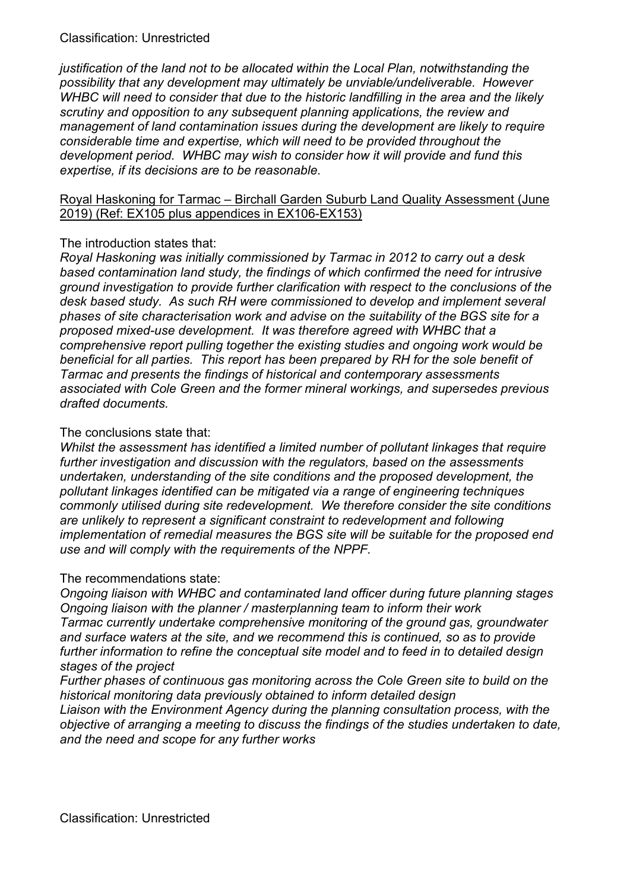*justification of the land not to be allocated within the Local Plan, notwithstanding the possibility that any development may ultimately be unviable/undeliverable. However WHBC will need to consider that due to the historic landfilling in the area and the likely scrutiny and opposition to any subsequent planning applications, the review and management of land contamination issues during the development are likely to require considerable time and expertise, which will need to be provided throughout the development period. WHBC may wish to consider how it will provide and fund this expertise, if its decisions are to be reasonable.*

#### Royal Haskoning for Tarmac – Birchall Garden Suburb Land Quality Assessment (June 2019) (Ref: EX105 plus appendices in EX106-EX153)

### The introduction states that:

*Royal Haskoning was initially commissioned by Tarmac in 2012 to carry out a desk based contamination land study, the findings of which confirmed the need for intrusive ground investigation to provide further clarification with respect to the conclusions of the desk based study. As such RH were commissioned to develop and implement several phases of site characterisation work and advise on the suitability of the BGS site for a proposed mixed-use development. It was therefore agreed with WHBC that a comprehensive report pulling together the existing studies and ongoing work would be beneficial for all parties. This report has been prepared by RH for the sole benefit of Tarmac and presents the findings of historical and contemporary assessments associated with Cole Green and the former mineral workings, and supersedes previous drafted documents.*

#### The conclusions state that:

*Whilst the assessment has identified a limited number of pollutant linkages that require further investigation and discussion with the regulators, based on the assessments undertaken, understanding of the site conditions and the proposed development, the pollutant linkages identified can be mitigated via a range of engineering techniques commonly utilised during site redevelopment. We therefore consider the site conditions are unlikely to represent a significant constraint to redevelopment and following implementation of remedial measures the BGS site will be suitable for the proposed end use and will comply with the requirements of the NPPF.*

#### The recommendations state:

*Ongoing liaison with WHBC and contaminated land officer during future planning stages Ongoing liaison with the planner / masterplanning team to inform their work Tarmac currently undertake comprehensive monitoring of the ground gas, groundwater and surface waters at the site, and we recommend this is continued, so as to provide further information to refine the conceptual site model and to feed in to detailed design stages of the project*

*Further phases of continuous gas monitoring across the Cole Green site to build on the historical monitoring data previously obtained to inform detailed design*

*Liaison with the Environment Agency during the planning consultation process, with the objective of arranging a meeting to discuss the findings of the studies undertaken to date, and the need and scope for any further works*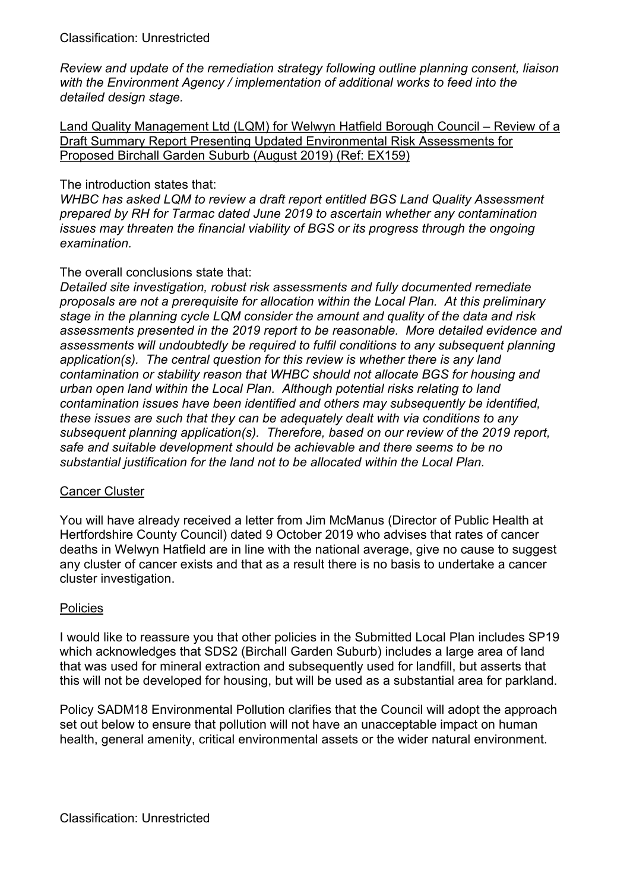*Review and update of the remediation strategy following outline planning consent, liaison with the Environment Agency / implementation of additional works to feed into the detailed design stage.*

Land Quality Management Ltd (LQM) for Welwyn Hatfield Borough Council – Review of a Draft Summary Report Presenting Updated Environmental Risk Assessments for Proposed Birchall Garden Suburb (August 2019) (Ref: EX159)

#### The introduction states that:

*WHBC has asked LQM to review a draft report entitled BGS Land Quality Assessment prepared by RH for Tarmac dated June 2019 to ascertain whether any contamination issues may threaten the financial viability of BGS or its progress through the ongoing examination.*

### The overall conclusions state that:

*Detailed site investigation, robust risk assessments and fully documented remediate proposals are not a prerequisite for allocation within the Local Plan. At this preliminary stage in the planning cycle LQM consider the amount and quality of the data and risk assessments presented in the 2019 report to be reasonable. More detailed evidence and assessments will undoubtedly be required to fulfil conditions to any subsequent planning application(s). The central question for this review is whether there is any land contamination or stability reason that WHBC should not allocate BGS for housing and urban open land within the Local Plan. Although potential risks relating to land contamination issues have been identified and others may subsequently be identified, these issues are such that they can be adequately dealt with via conditions to any subsequent planning application(s). Therefore, based on our review of the 2019 report, safe and suitable development should be achievable and there seems to be no substantial justification for the land not to be allocated within the Local Plan.*

#### Cancer Cluster

You will have already received a letter from Jim McManus (Director of Public Health at Hertfordshire County Council) dated 9 October 2019 who advises that rates of cancer deaths in Welwyn Hatfield are in line with the national average, give no cause to suggest any cluster of cancer exists and that as a result there is no basis to undertake a cancer cluster investigation.

## **Policies**

I would like to reassure you that other policies in the Submitted Local Plan includes SP19 which acknowledges that SDS2 (Birchall Garden Suburb) includes a large area of land that was used for mineral extraction and subsequently used for landfill, but asserts that this will not be developed for housing, but will be used as a substantial area for parkland.

Policy SADM18 Environmental Pollution clarifies that the Council will adopt the approach set out below to ensure that pollution will not have an unacceptable impact on human health, general amenity, critical environmental assets or the wider natural environment.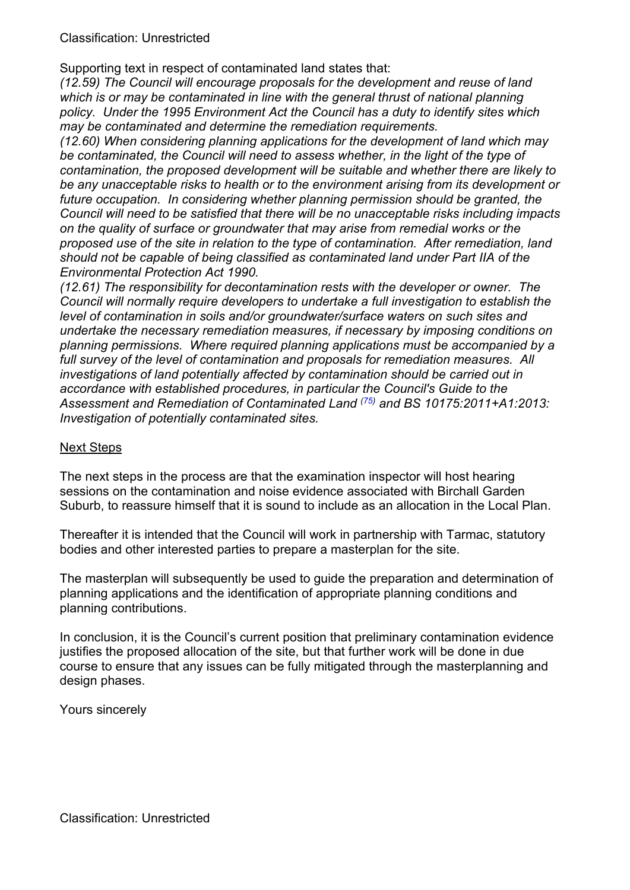Supporting text in respect of contaminated land states that:

*(12.59) The Council will encourage proposals for the development and reuse of land which is or may be contaminated in line with the general thrust of national planning policy. Under the 1995 Environment Act the Council has a duty to identify sites which may be contaminated and determine the remediation requirements.*

*(12.60) When considering planning applications for the development of land which may be contaminated, the Council will need to assess whether, in the light of the type of contamination, the proposed development will be suitable and whether there are likely to be any unacceptable risks to health or to the environment arising from its development or future occupation. In considering whether planning permission should be granted, the Council will need to be satisfied that there will be no unacceptable risks including impacts on the quality of surface or groundwater that may arise from remedial works or the proposed use of the site in relation to the type of contamination. After remediation, land should not be capable of being classified as contaminated land under Part IIA of the Environmental Protection Act 1990.*

*(12.61) The responsibility for decontamination rests with the developer or owner. The Council will normally require developers to undertake a full investigation to establish the level of contamination in soils and/or groundwater/surface waters on such sites and undertake the necessary remediation measures, if necessary by imposing conditions on planning permissions. Where required planning applications must be accompanied by a full survey of the level of contamination and proposals for remediation measures. All investigations of land potentially affected by contamination should be carried out in accordance with established procedures, in particular the Council's Guide to the Assessment and Remediation of Contaminated Land (75) and BS 10175:2011+A1:2013: Investigation of potentially contaminated sites.*

#### Next Steps

The next steps in the process are that the examination inspector will host hearing sessions on the contamination and noise evidence associated with Birchall Garden Suburb, to reassure himself that it is sound to include as an allocation in the Local Plan.

Thereafter it is intended that the Council will work in partnership with Tarmac, statutory bodies and other interested parties to prepare a masterplan for the site.

The masterplan will subsequently be used to guide the preparation and determination of planning applications and the identification of appropriate planning conditions and planning contributions.

In conclusion, it is the Council's current position that preliminary contamination evidence justifies the proposed allocation of the site, but that further work will be done in due course to ensure that any issues can be fully mitigated through the masterplanning and design phases.

Yours sincerely